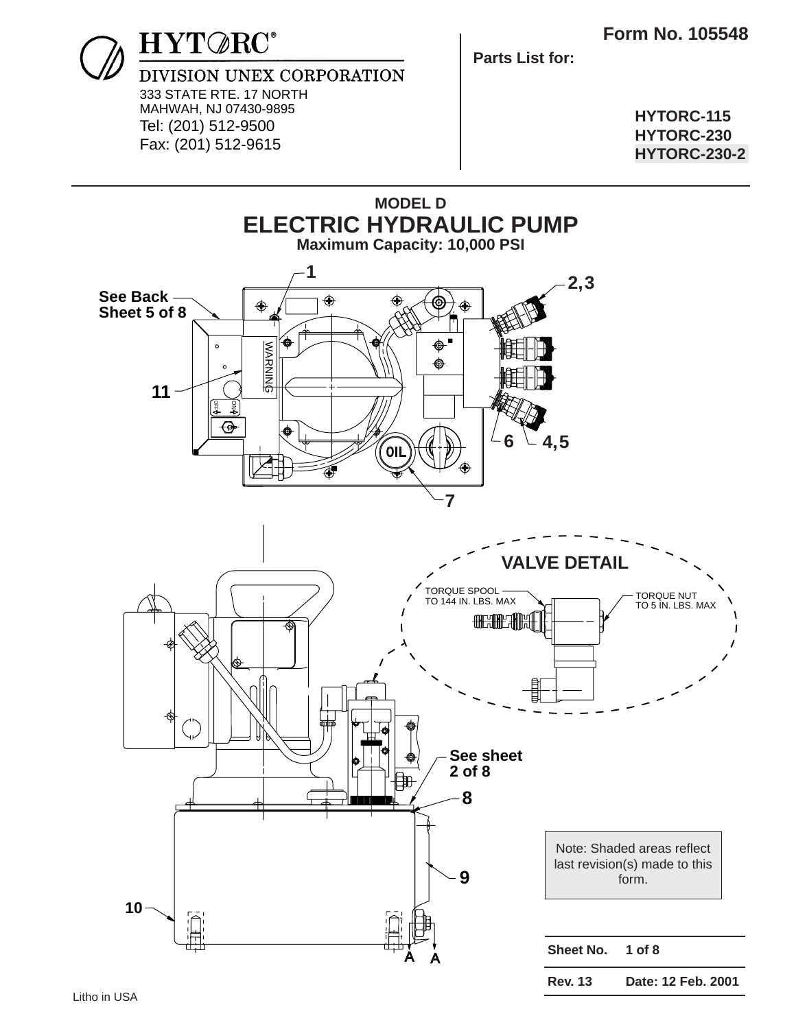

**Parts List for:**

**HYTORC-115 HYTORC-230 HYTORC-230-2**

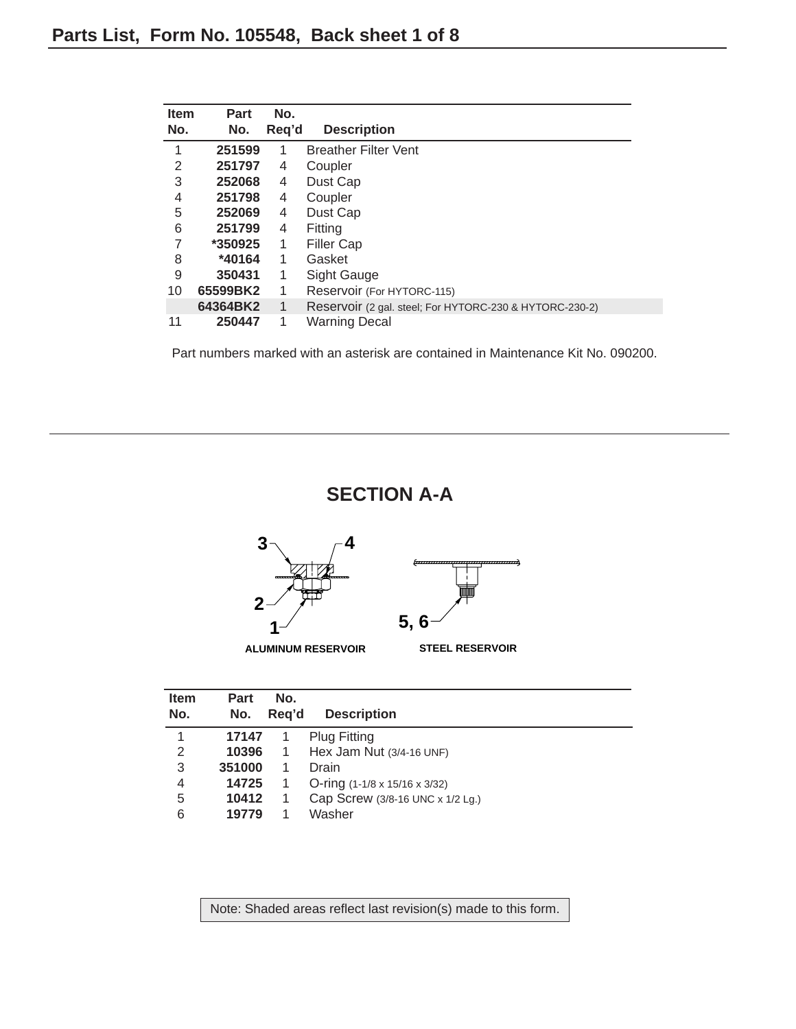| <b>Item</b><br>No. | <b>Part</b><br>No. | No.<br>Reg'd | <b>Description</b>                                      |
|--------------------|--------------------|--------------|---------------------------------------------------------|
| 1                  | 251599             | 1            | <b>Breather Filter Vent</b>                             |
| 2                  | 251797             | 4            | Coupler                                                 |
| 3                  | 252068             | 4            | Dust Cap                                                |
| 4                  | 251798             | 4            | Coupler                                                 |
| 5                  | 252069             | 4            | Dust Cap                                                |
| 6                  | 251799             | 4            | Fitting                                                 |
|                    | *350925            | 1            | <b>Filler Cap</b>                                       |
| 8                  | *40164             | 1            | Gasket                                                  |
| 9                  | 350431             | 1            | Sight Gauge                                             |
| 10                 | 65599BK2           | 1            | Reservoir (For HYTORC-115)                              |
|                    | 64364BK2           | 1            | Reservoir (2 gal. steel; For HYTORC-230 & HYTORC-230-2) |
| 11                 | 250447             | 1            | <b>Warning Decal</b>                                    |

#### **SECTION A-A**



| <b>Item</b><br>No. | Part<br>No. | No.<br>Reg'd | <b>Description</b>                        |  |  |  |
|--------------------|-------------|--------------|-------------------------------------------|--|--|--|
| 1                  | 17147       |              | <b>Plug Fitting</b>                       |  |  |  |
| 2                  | 10396       | 1            | Hex Jam Nut (3/4-16 UNF)                  |  |  |  |
| 3                  | 351000      |              | Drain                                     |  |  |  |
| 4                  | 14725       |              | O-ring $(1-1/8 \times 15/16 \times 3/32)$ |  |  |  |
| 5                  | 10412       |              | Cap Screw (3/8-16 UNC x 1/2 Lg.)          |  |  |  |
| 6                  | 19779       |              | Washer                                    |  |  |  |

Note: Shaded areas reflect last revision(s) made to this form.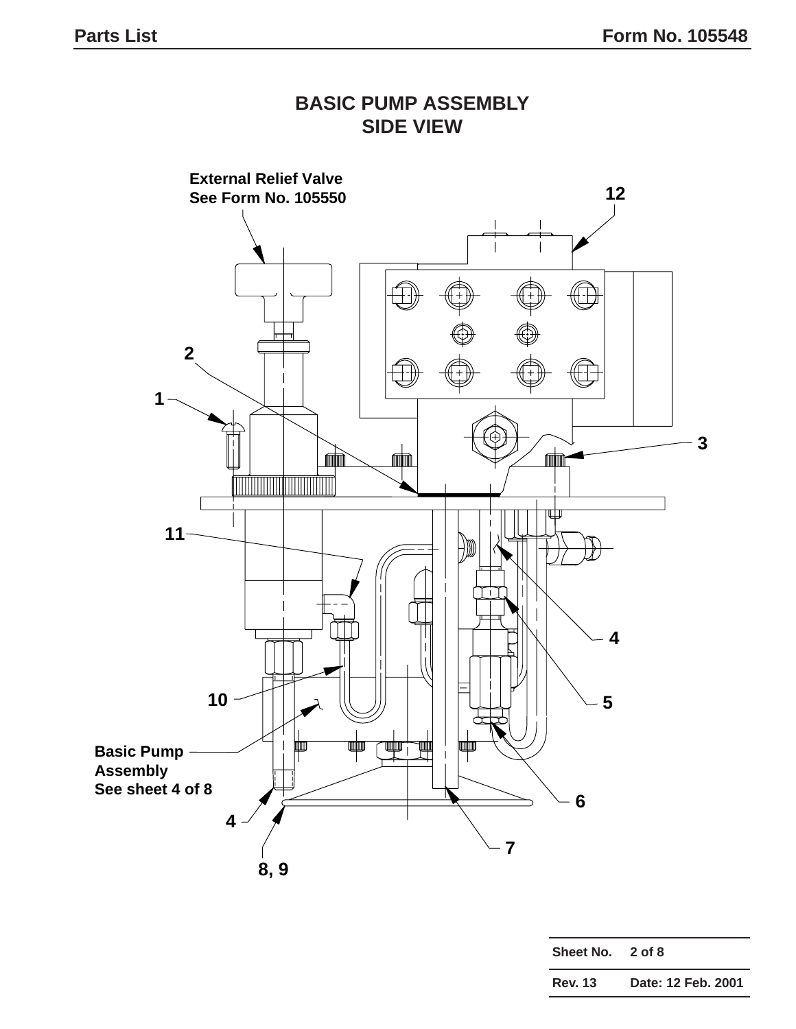## **SIDE VIEW External Relief Valve 12 See Form No. 105550** ĦÌ  $\overleftrightarrow{A}$ **2** ÆÈ  $\boxplus$ **1 3 for the contract for the contract** mm **11**  $H$ **4 10 5**  $\blacksquare$ 螬 ▔▀▛▀▕ 画 卹 **Basic Pump Assembly See sheet 4 of 8 6 4 7 8, 9**

| Sheet No. 2 of 8 |                    |
|------------------|--------------------|
| <b>Rev. 13</b>   | Date: 12 Feb. 2001 |

# **BASIC PUMP ASSEMBLY**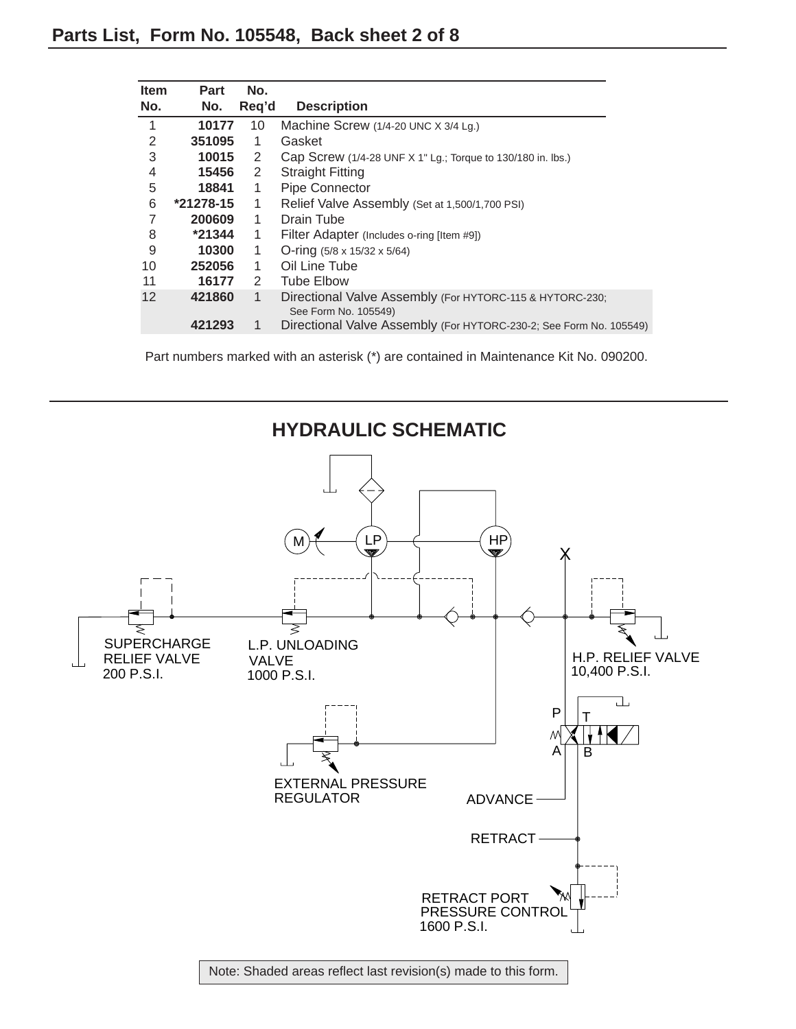| <b>Item</b> | Part        | No.   |                                                                    |
|-------------|-------------|-------|--------------------------------------------------------------------|
| No.         | No.         | Req'd | <b>Description</b>                                                 |
| 1           | 10177       | 10    | Machine Screw $(1/4-20$ UNC $\times$ 3/4 Lg.)                      |
| 2           | 351095      | 1     | Gasket                                                             |
| 3           | 10015       | 2     | Cap Screw (1/4-28 UNF X 1" Lg.; Torque to 130/180 in. lbs.)        |
| 4           | 15456       | 2     | <b>Straight Fitting</b>                                            |
| 5           | 18841       | 1     | <b>Pipe Connector</b>                                              |
| 6           | $*21278-15$ | 1     | Relief Valve Assembly (Set at 1,500/1,700 PSI)                     |
|             | 200609      | 1     | Drain Tube                                                         |
| 8           | $*21344$    | 1     | Filter Adapter (Includes o-ring [Item #9])                         |
| 9           | 10300       | 1     | O-ring $(5/8 \times 15/32 \times 5/64)$                            |
| 10          | 252056      | 1     | Oil Line Tube                                                      |
| 11          | 16177       | 2     | <b>Tube Elbow</b>                                                  |
| 12          | 421860      | 1     | Directional Valve Assembly (For HYTORC-115 & HYTORC-230;           |
|             |             |       | See Form No. 105549)                                               |
|             | 421293      | 1     | Directional Valve Assembly (For HYTORC-230-2; See Form No. 105549) |
|             |             |       |                                                                    |

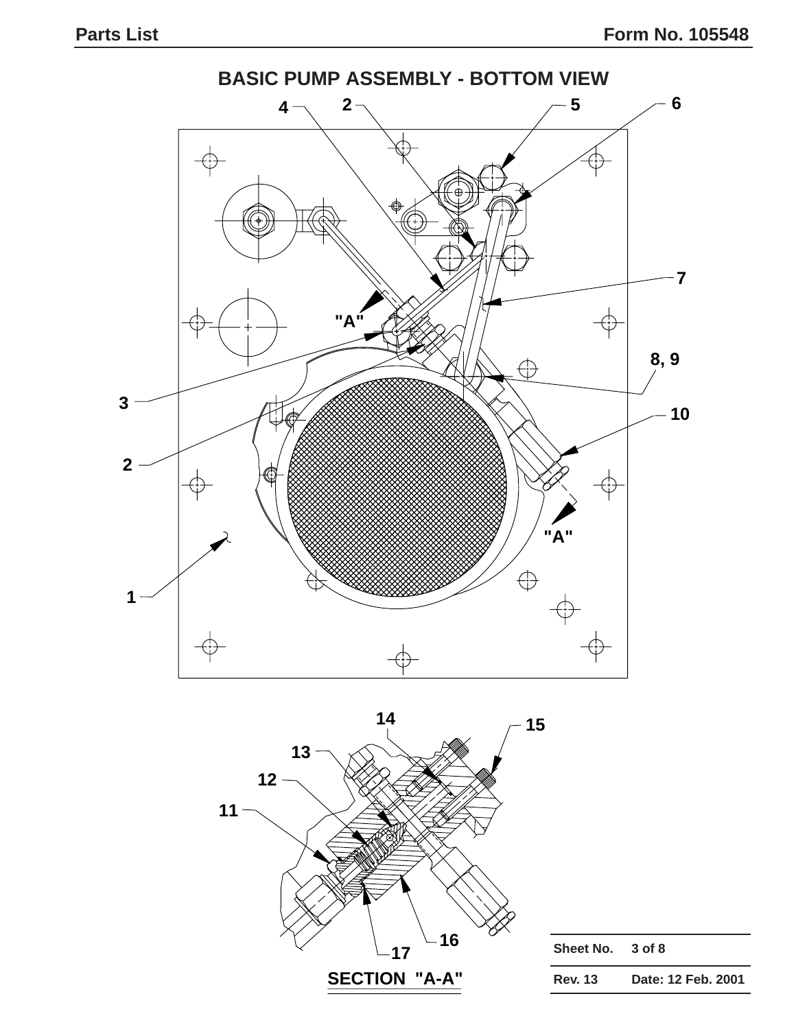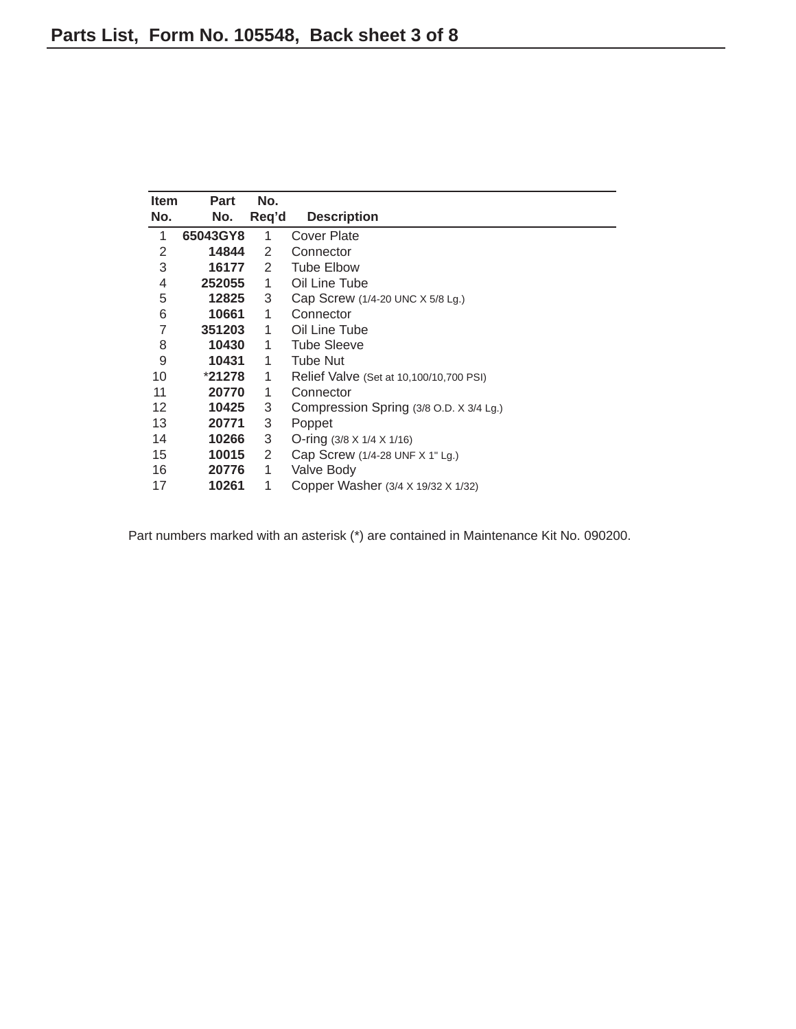| <b>Item</b> | Part     | No.   |                                         |  |  |
|-------------|----------|-------|-----------------------------------------|--|--|
| No.         | No.      | Req'd | <b>Description</b>                      |  |  |
| 1           | 65043GY8 | 1     | Cover Plate                             |  |  |
| 2           | 14844    | 2     | Connector                               |  |  |
| 3           | 16177    | 2     | <b>Tube Elbow</b>                       |  |  |
| 4           | 252055   | 1     | Oil Line Tube                           |  |  |
| 5           | 12825    | 3     | Cap Screw (1/4-20 UNC X 5/8 Lg.)        |  |  |
| 6           | 10661    | 1     | Connector                               |  |  |
| 7           | 351203   | 1     | Oil Line Tube                           |  |  |
| 8           | 10430    | 1     | <b>Tube Sleeve</b>                      |  |  |
| 9           | 10431    | 1     | <b>Tube Nut</b>                         |  |  |
| 10          | $*21278$ | 1     | Relief Valve (Set at 10,100/10,700 PSI) |  |  |
| 11          | 20770    | 1     | Connector                               |  |  |
| 12          | 10425    | 3     | Compression Spring (3/8 O.D. X 3/4 Lg.) |  |  |
| 13          | 20771    | 3     | Poppet                                  |  |  |
| 14          | 10266    | 3     | $O\text{-ring}$ (3/8 X 1/4 X 1/16)      |  |  |
| 15          | 10015    | 2     | Cap Screw (1/4-28 UNF X 1" Lg.)         |  |  |
| 16          | 20776    | 1     | Valve Body                              |  |  |
| 17          | 10261    | 1     | Copper Washer (3/4 X 19/32 X 1/32)      |  |  |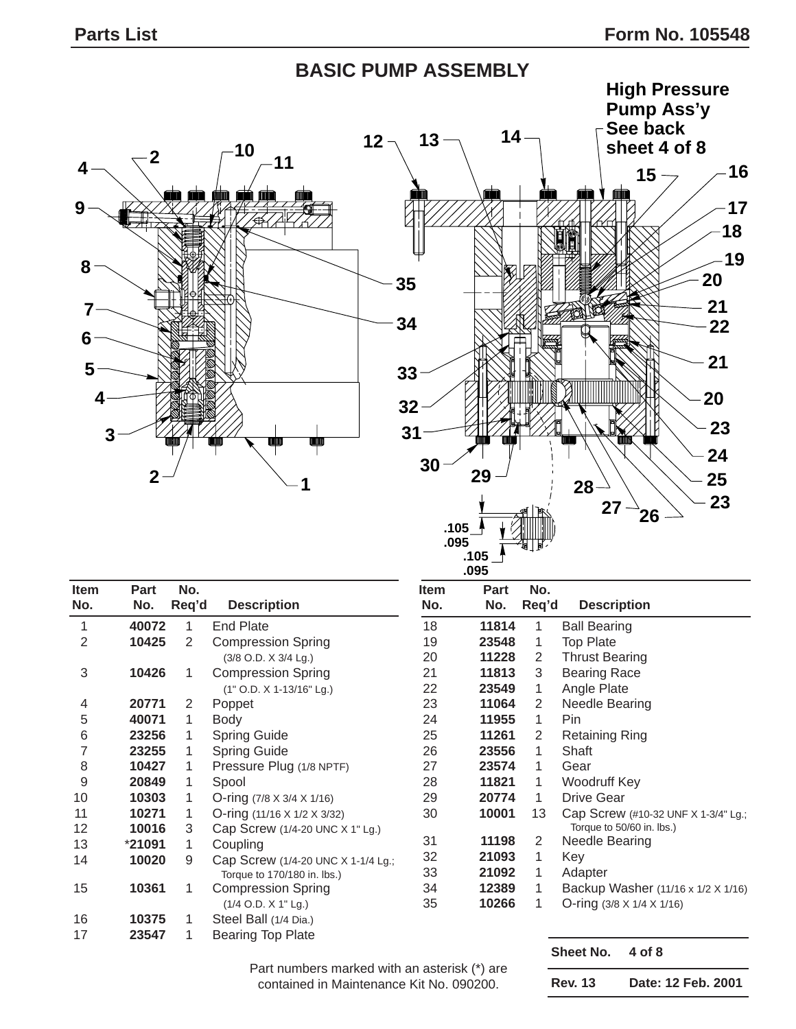## **BASIC PUMP ASSEMBLY**





| <b>Item</b><br>No. | <b>Part</b><br>No. | No.<br>Req'd | <b>Description</b>                      | Item<br>No. | Part<br>No. | No.<br>Req'd   | <b>Description</b>    |
|--------------------|--------------------|--------------|-----------------------------------------|-------------|-------------|----------------|-----------------------|
|                    |                    |              |                                         |             |             |                |                       |
| $\mathbf{1}$       | 40072              | 1            | <b>End Plate</b>                        | 18          | 11814       | 1              | <b>Ball Bearing</b>   |
| $\overline{2}$     | 10425              | 2            | <b>Compression Spring</b>               | 19          | 23548       | 1              | <b>Top Plate</b>      |
|                    |                    |              | (3/8 O.D. X 3/4 Lg.)                    | 20          | 11228       | 2              | <b>Thrust Bearing</b> |
| $\sqrt{3}$         | 10426              | 1            | <b>Compression Spring</b>               | 21          | 11813       | 3              | <b>Bearing Race</b>   |
|                    |                    |              | (1" O.D. X 1-13/16" Lg.)                | 22          | 23549       | 1              | Angle Plate           |
| 4                  | 20771              | 2            | Poppet                                  | 23          | 11064       | $\overline{2}$ | Needle Bearing        |
| 5                  | 40071              | 1            | <b>Body</b>                             | 24          | 11955       | 1              | Pin                   |
| 6                  | 23256              | 1            | <b>Spring Guide</b>                     | 25          | 11261       | 2              | <b>Retaining Ring</b> |
| $\overline{7}$     | 23255              | 1            | <b>Spring Guide</b>                     | 26          | 23556       | 1              | Shaft                 |
| 8                  | 10427              | 1            | Pressure Plug (1/8 NPTF)                | 27          | 23574       | 1              | Gear                  |
| 9                  | 20849              | 1            | Spool                                   | 28          | 11821       | 1              | Woodruff Key          |
| 10                 | 10303              | 1            | O-ring $(7/8 \times 3/4 \times 1/16)$   | 29          | 20774       | 1              | <b>Drive Gear</b>     |
| 11                 | 10271              | 1            | O-ring $(11/16 \times 1/2 \times 3/32)$ | 30          | 10001       | 13             | Cap Screw (#10        |
| 12                 | 10016              | 3            | Cap Screw (1/4-20 UNC X 1" Lg.)         |             |             |                | Torque to 50/60 in    |
| 13                 | *21091             | 1            | Coupling                                | 31          | 11198       | 2              | Needle Bearing        |
| 14                 | 10020              | 9            | Cap Screw (1/4-20 UNC X 1-1/4 Lg.;      | 32          | 21093       | 1              | Key                   |
|                    |                    |              | Torque to 170/180 in. lbs.)             | 33          | 21092       | 1              | Adapter               |
| 15                 | 10361              | 1            | <b>Compression Spring</b>               | 34          | 12389       | 1              | Backup Washe          |
|                    |                    |              | $(1/4$ O.D. X 1" Lg.)                   | 35          | 10266       | 1              | O-ring (3/8 X 1/4     |
| 16                 | 10375              | 1            | Steel Ball (1/4 Dia.)                   |             |             |                |                       |
| 17                 | 23547              | 1            | <b>Bearing Top Plate</b>                |             |             |                |                       |

| tem | Part  | No.   |                                                                  |
|-----|-------|-------|------------------------------------------------------------------|
| No. | No.   | Req'd | <b>Description</b>                                               |
| 18  | 11814 | 1     | <b>Ball Bearing</b>                                              |
| 19  | 23548 | 1     | <b>Top Plate</b>                                                 |
| 20  | 11228 | 2     | <b>Thrust Bearing</b>                                            |
| 21  | 11813 | 3     | <b>Bearing Race</b>                                              |
| 22  | 23549 | 1     | Angle Plate                                                      |
| 23  | 11064 | 2     | Needle Bearing                                                   |
| 24  | 11955 | 1     | Pin                                                              |
| 25  | 11261 | 2     | Retaining Ring                                                   |
| 26  | 23556 | 1     | Shaft                                                            |
| 27  | 23574 | 1     | Gear                                                             |
| 28  | 11821 | 1     | Woodruff Key                                                     |
| 29  | 20774 | 1     | Drive Gear                                                       |
| 30  | 10001 | 13    | Cap Screw (#10-32 UNF X 1-3/4" Lg.;<br>Torque to 50/60 in. lbs.) |
| 31  | 11198 | 2     | Needle Bearing                                                   |
| 32  | 21093 | 1     | Key                                                              |
| 33  | 21092 | 1     | Adapter                                                          |
| 34  | 12389 | 1     | Backup Washer (11/16 x 1/2 X 1/16)                               |
| 35  | 10266 | 1     | O-ring (3/8 X 1/4 X 1/16)                                        |
|     |       |       |                                                                  |

Part numbers marked with an asterisk (\*) are contained in Maintenance Kit No. 090200.

**Sheet No. 4 of 8**

| Date: 12 Feb. 2001<br><b>Rev. 13</b> |  |
|--------------------------------------|--|
|--------------------------------------|--|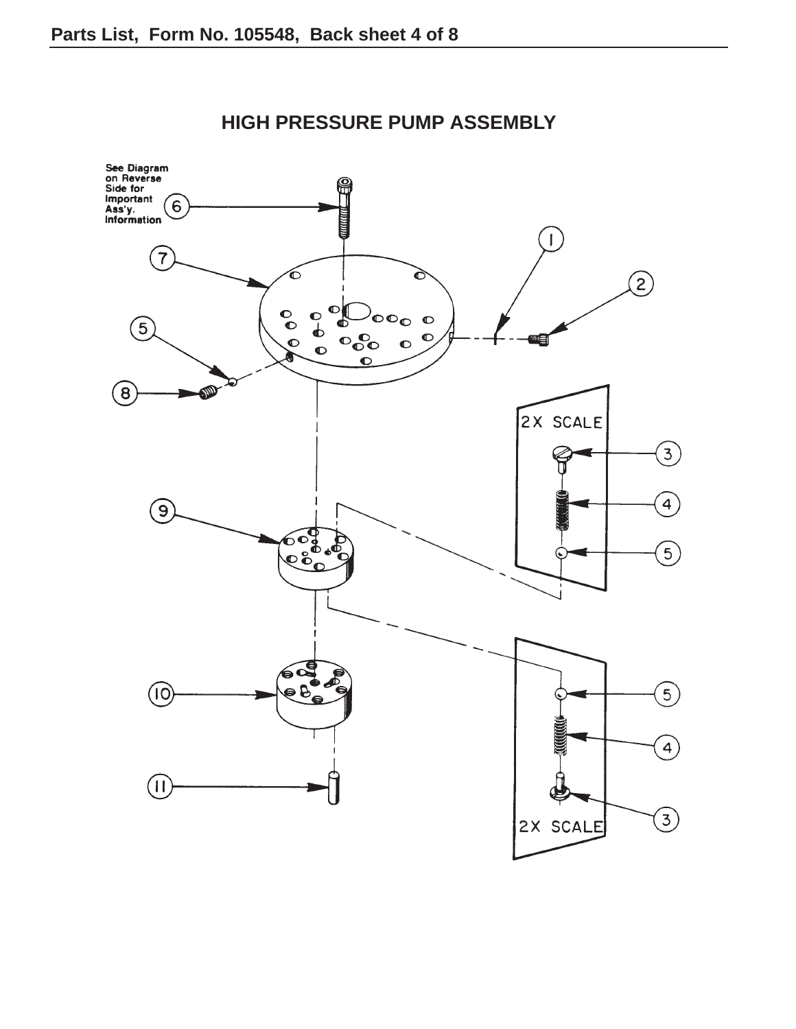

**HIGH PRESSURE PUMP ASSEMBLY**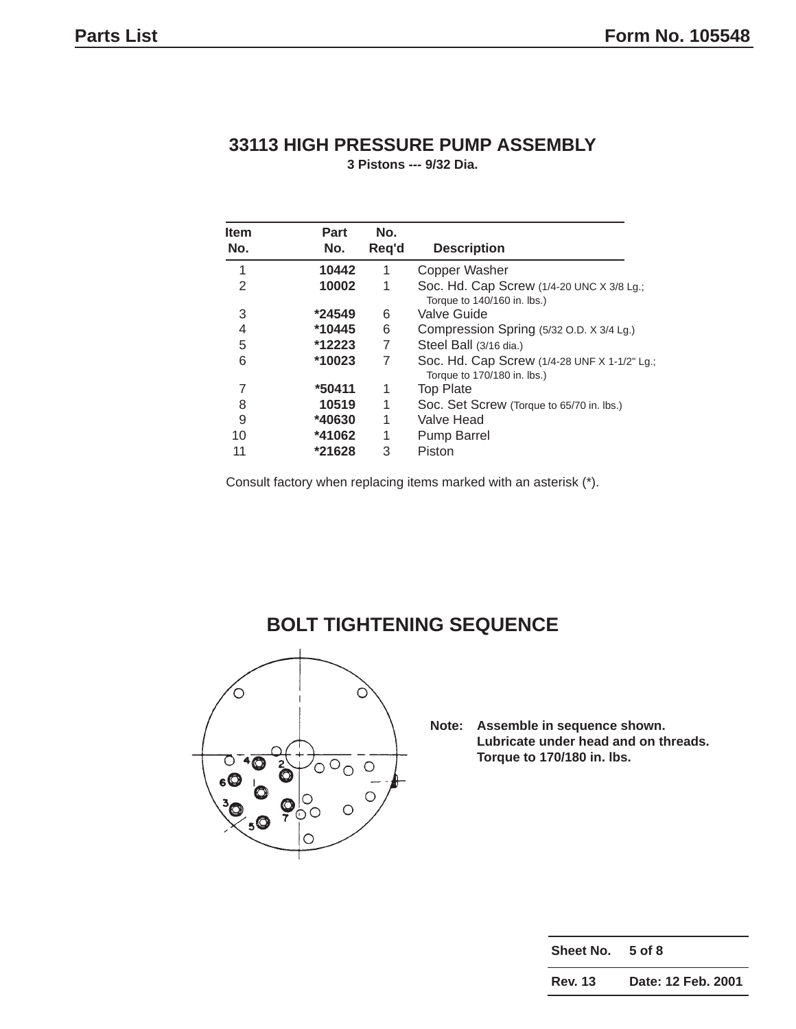#### **33113 HIGH PRESSURE PUMP ASSEMBLY**

**3 Pistons --- 9/32 Dia.**

| <b>Item</b><br>No. | <b>Part</b><br>No. | No.<br>Req'd | <b>Description</b>                                                          |
|--------------------|--------------------|--------------|-----------------------------------------------------------------------------|
| 1                  | 10442              | 1            | <b>Copper Washer</b>                                                        |
| 2                  | 10002              | 1            | Soc. Hd. Cap Screw (1/4-20 UNC X 3/8 Lg.;<br>Torque to 140/160 in. lbs.)    |
| 3                  | *24549             | 6            | Valve Guide                                                                 |
| 4                  | *10445             | 6            | Compression Spring (5/32 O.D. X 3/4 Lg.)                                    |
| 5                  | *12223             | 7            | Steel Ball (3/16 dia.)                                                      |
| 6                  | *10023             | 7            | Soc. Hd. Cap Screw (1/4-28 UNF X 1-1/2" Lg.;<br>Torque to 170/180 in. lbs.) |
| 7                  | *50411             | 1            | <b>Top Plate</b>                                                            |
| 8                  | 10519              | 1            | Soc. Set Screw (Torque to 65/70 in. lbs.)                                   |
| 9                  | *40630             | 1            | Valve Head                                                                  |
| 10                 | *41062             | 1            | Pump Barrel                                                                 |
| 11                 | *21628             | 3            | Piston                                                                      |

Consult factory when replacing items marked with an asterisk (\*).



#### **BOLT TIGHTENING SEQUENCE**

**Note: Assemble in sequence shown. Lubricate under head and on threads. Torque to 170/180 in. lbs.**

| Sheet No. 5 of 8 |                    |
|------------------|--------------------|
| Rev. 13          | Date: 12 Feb. 2001 |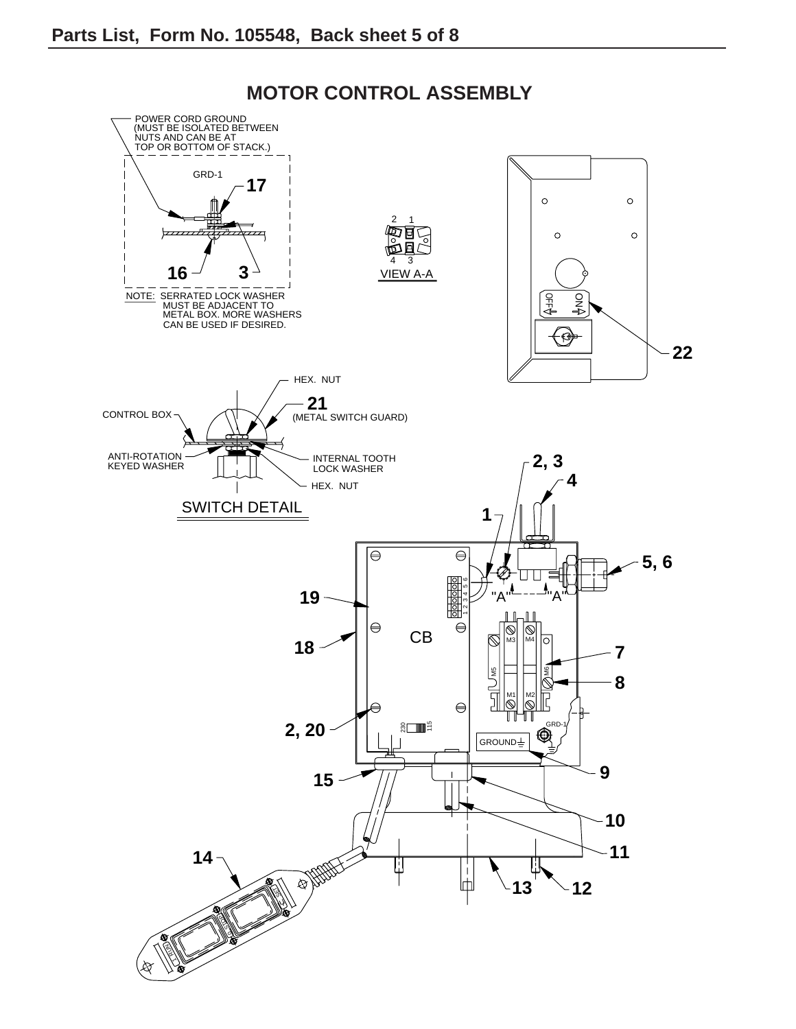

### **MOTOR CONTROL ASSEMBLY**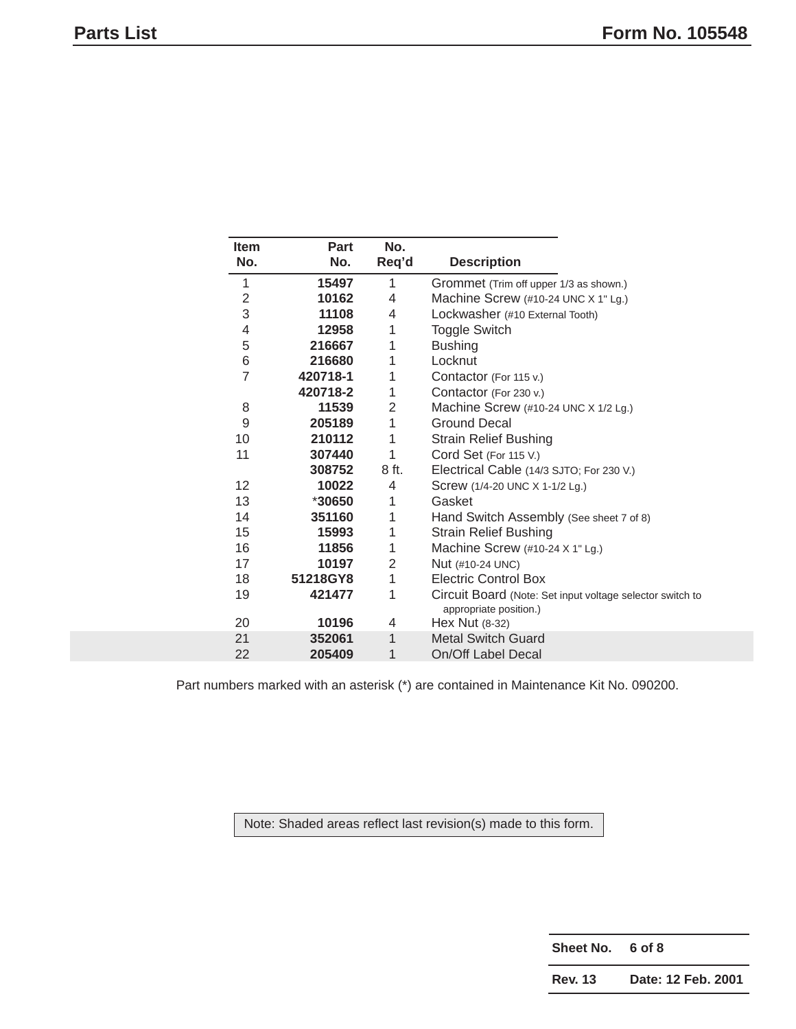| <b>Item</b>    | Part     | No.   |                                                                                     |
|----------------|----------|-------|-------------------------------------------------------------------------------------|
| No.            | No.      | Req'd | <b>Description</b>                                                                  |
| 1              | 15497    | 1     | Grommet (Trim off upper 1/3 as shown.)                                              |
| 2              | 10162    | 4     | Machine Screw (#10-24 UNC X 1" Lg.)                                                 |
| 3              | 11108    | 4     | Lockwasher (#10 External Tooth)                                                     |
| 4              | 12958    | 1     | <b>Toggle Switch</b>                                                                |
| 5              | 216667   | 1     | <b>Bushing</b>                                                                      |
| 6              | 216680   | 1     | Locknut                                                                             |
| $\overline{7}$ | 420718-1 | 1     | Contactor (For 115 v.)                                                              |
|                | 420718-2 | 1     | Contactor (For 230 v.)                                                              |
| 8              | 11539    | 2     | Machine Screw (#10-24 UNC X 1/2 Lg.)                                                |
| 9              | 205189   | 1     | <b>Ground Decal</b>                                                                 |
| 10             | 210112   | 1     | <b>Strain Relief Bushing</b>                                                        |
| 11             | 307440   | 1     | Cord Set (For 115 V.)                                                               |
|                | 308752   | 8 ft. | Electrical Cable (14/3 SJTO; For 230 V.)                                            |
| 12             | 10022    | 4     | Screw (1/4-20 UNC X 1-1/2 Lg.)                                                      |
| 13             | *30650   | 1     | Gasket                                                                              |
| 14             | 351160   | 1     | Hand Switch Assembly (See sheet 7 of 8)                                             |
| 15             | 15993    | 1     | <b>Strain Relief Bushing</b>                                                        |
| 16             | 11856    | 1     | Machine Screw $(\#10-24 \times 1"$ Lg.)                                             |
| 17             | 10197    | 2     | Nut (#10-24 UNC)                                                                    |
| 18             | 51218GY8 | 1     | <b>Electric Control Box</b>                                                         |
| 19             | 421477   | 1     | Circuit Board (Note: Set input voltage selector switch to<br>appropriate position.) |
| 20             | 10196    | 4     | Hex Nut (8-32)                                                                      |
| 21             | 352061   | 1     | <b>Metal Switch Guard</b>                                                           |
| 22             | 205409   | 1     | On/Off Label Decal                                                                  |

Note: Shaded areas reflect last revision(s) made to this form.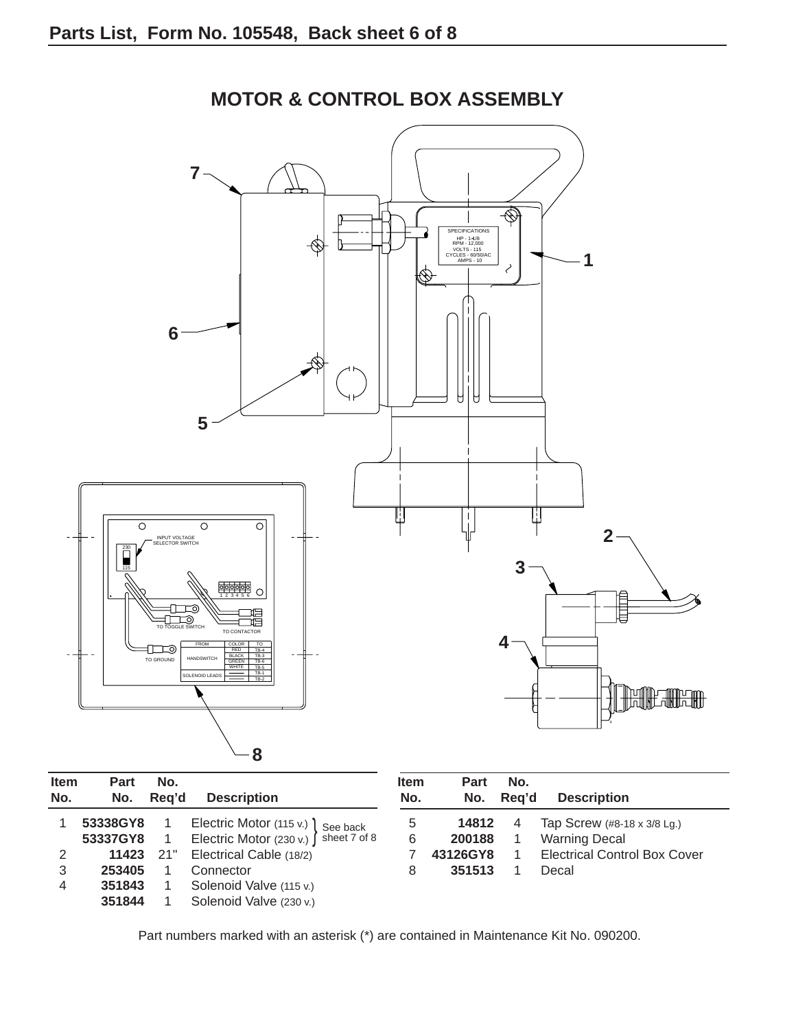

**MOTOR & CONTROL BOX ASSEMBLY**

| ווסו<br>No.    | ган<br>No. | IV.<br>Rea'd | <b>Description</b>                     | וופוו<br>No. | <b>Γαιι</b><br>No. | IV.<br>Rea'd   | <b>Description</b>      |
|----------------|------------|--------------|----------------------------------------|--------------|--------------------|----------------|-------------------------|
|                | 53338GY8   |              | Electric Motor (115 v.) \ See back     | 5            | 14812              | $\overline{4}$ | Tap Screw (#8-1         |
|                | 53337GY8   |              | Electric Motor (230 v.) ∫ sheet 7 of 8 | 6            | 200188             |                | <b>Warning Decal</b>    |
| 2              | 11423      | 21"          | Electrical Cable (18/2)                |              | 43126GY8           |                | <b>Electrical Contr</b> |
| 3              | 253405     |              | Connector                              | 8            | 351513             |                | Decal                   |
| $\overline{4}$ | 351843     |              | Solenoid Valve (115 v.)                |              |                    |                |                         |
|                | 351844     |              | Solenoid Valve (230 v.)                |              |                    |                |                         |
|                |            |              |                                        |              |                    |                |                         |

| <b>Item</b><br>No. | Part<br>No. | No.<br>Reg'd | <b>Description</b>                  |
|--------------------|-------------|--------------|-------------------------------------|
| 5                  | 14812       | 4            | Tap Screw (#8-18 x 3/8 Lg.)         |
| 6                  | 200188      | $\mathbf{1}$ | <b>Warning Decal</b>                |
|                    | 43126GY8    | $\mathbf{1}$ | <b>Electrical Control Box Cover</b> |
| 8                  | 351513      | 1            | Decal                               |

Part numbers marked with an asterisk (\*) are contained in Maintenance Kit No. 090200.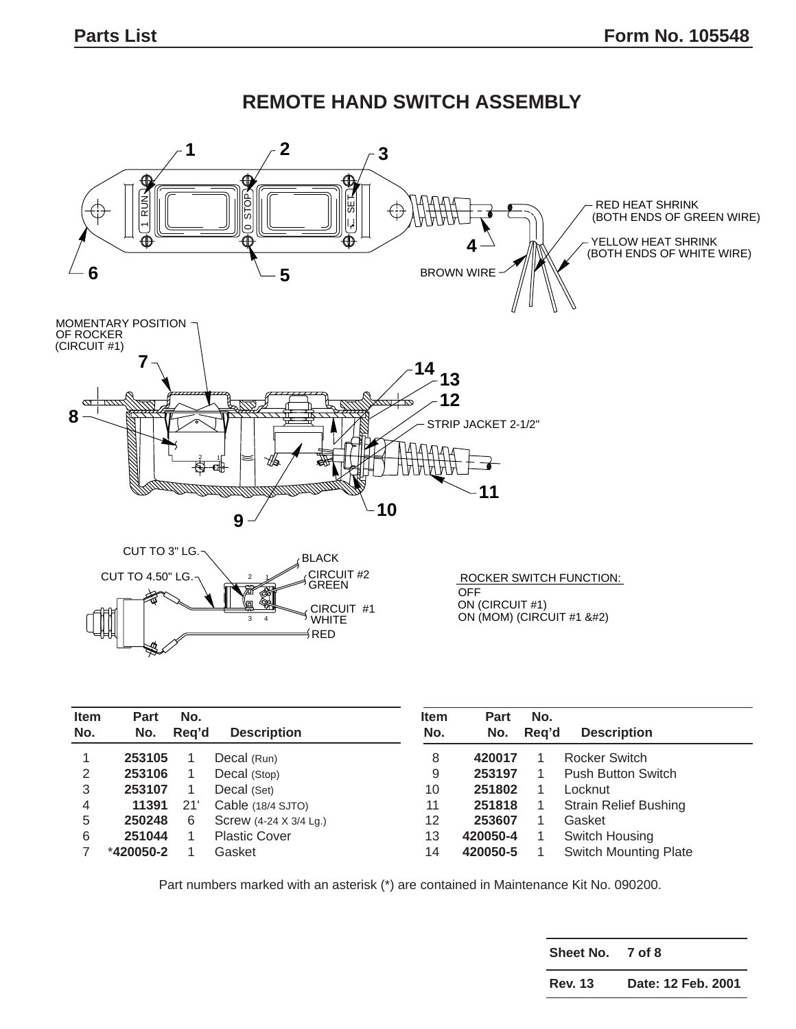

| <b>Item</b><br>No. | <b>Part</b><br>No. | No.<br>Rea'd | <b>Description</b>     | <b>Item</b><br>No. | <b>Part</b><br>No. | No.<br>Rea'd | <b>Description</b>           |
|--------------------|--------------------|--------------|------------------------|--------------------|--------------------|--------------|------------------------------|
|                    | 253105             |              | Decal (Run)            | 8                  | 420017             |              | Rocker Switch                |
| 2                  | 253106             |              | Decal (Stop)           | 9                  | 253197             |              | <b>Push Button Switch</b>    |
| 3                  | 253107             |              | Decal (Set)            | 10                 | 251802             |              | Locknut                      |
| 4                  | 11391              | 21           | Cable (18/4 SJTO)      | 11                 | 251818             |              | <b>Strain Relief Bushing</b> |
| 5                  | 250248             | 6            | Screw (4-24 X 3/4 Lg.) | 12                 | 253607             |              | Gasket                       |
| 6                  | 251044             |              | <b>Plastic Cover</b>   | 13                 | 420050-4           |              | Switch Housing               |
|                    | $*420050-2$        |              | Gasket                 | 14                 | 420050-5           |              | <b>Switch Mounting Plate</b> |

**Sheet No. 7 of 8**

**Rev. 13 Date: 12 Feb. 2001**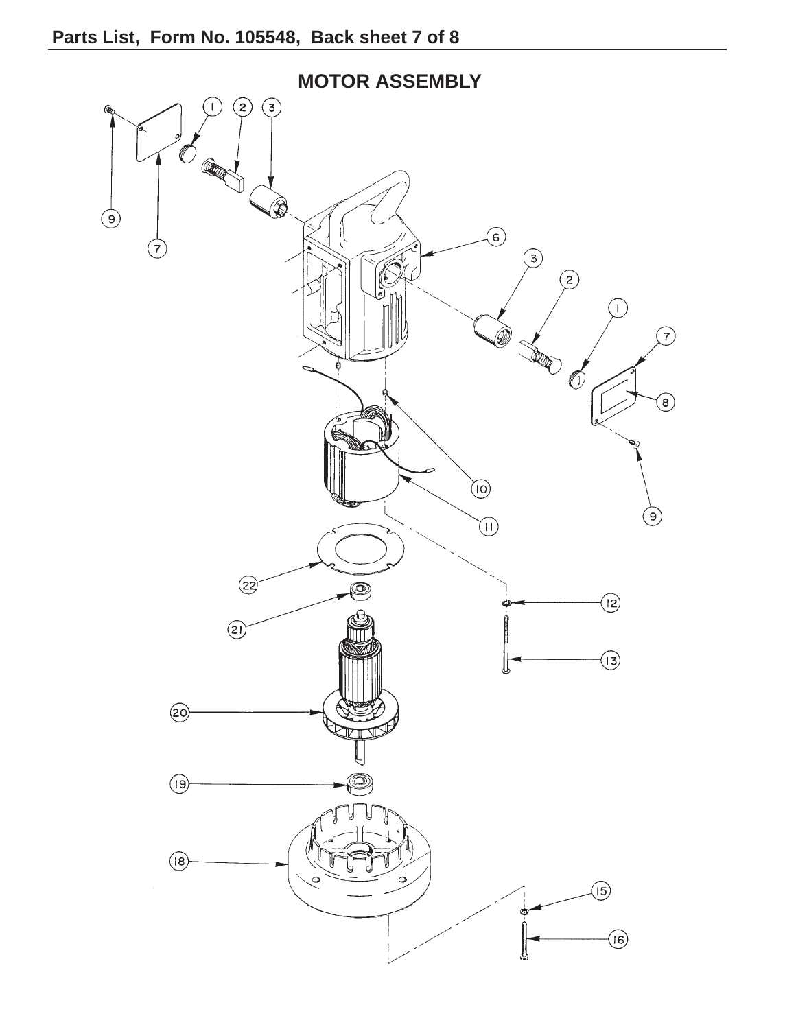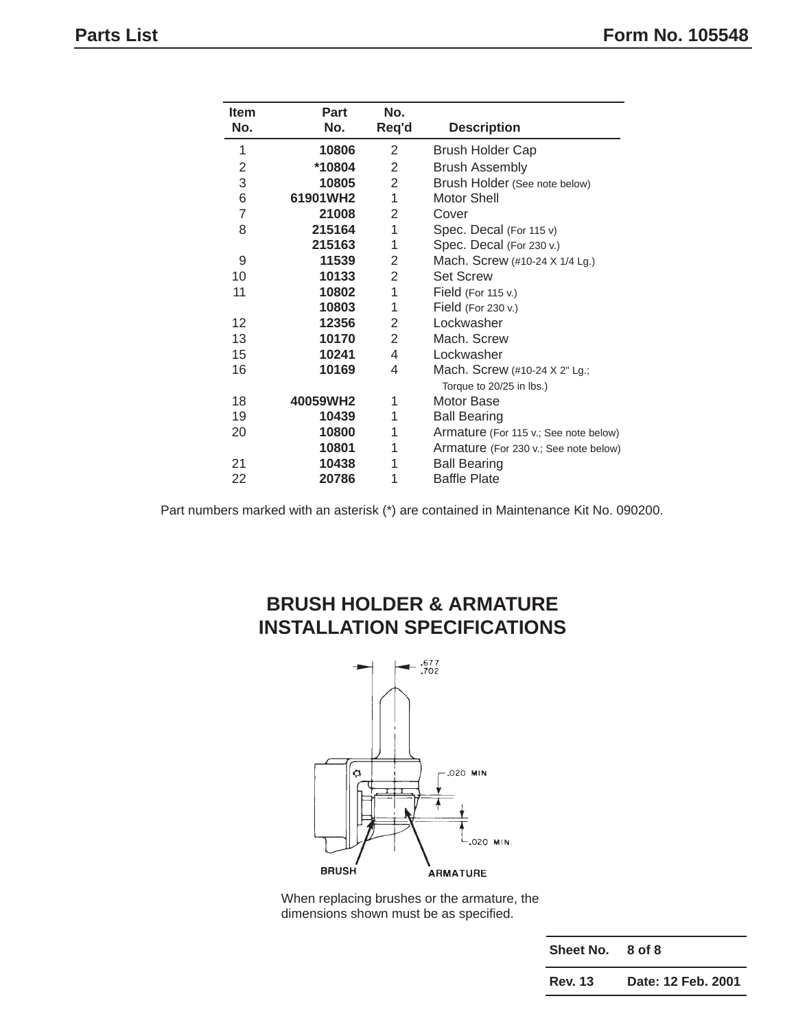| Item           | Part     | No.            |                                       |  |
|----------------|----------|----------------|---------------------------------------|--|
| No.            | No.      | Req'd          | <b>Description</b>                    |  |
| 1              | 10806    | 2              | <b>Brush Holder Cap</b>               |  |
| 2              | *10804   | 2              | <b>Brush Assembly</b>                 |  |
| 3              | 10805    | $\overline{2}$ | Brush Holder (See note below)         |  |
| 6              | 61901WH2 | 1              | <b>Motor Shell</b>                    |  |
| $\overline{7}$ | 21008    | 2              | Cover                                 |  |
| 8              | 215164   | $\mathbf{1}$   | Spec. Decal (For 115 v)               |  |
|                | 215163   | 1              | Spec. Decal (For 230 v.)              |  |
| 9              | 11539    | 2              | Mach. Screw (#10-24 X 1/4 Lg.)        |  |
| 10             | 10133    | $\overline{2}$ | <b>Set Screw</b>                      |  |
| 11             | 10802    | 1              | Field (For 115 v.)                    |  |
|                | 10803    | 1              | Field (For 230 v.)                    |  |
| 12             | 12356    | 2              | Lockwasher                            |  |
| 13             | 10170    | 2              | Mach. Screw                           |  |
| 15             | 10241    | 4              | Lockwasher                            |  |
| 16             | 10169    | 4              | Mach. Screw (#10-24 X 2" Lg.;         |  |
|                |          |                | Torque to 20/25 in lbs.)              |  |
| 18             | 40059WH2 | 1              | Motor Base                            |  |
| 19             | 10439    | 1              | <b>Ball Bearing</b>                   |  |
| 20             | 10800    | 1              | Armature (For 115 v.; See note below) |  |
|                | 10801    | 1              | Armature (For 230 v.; See note below) |  |
| 21             | 10438    | 1              | <b>Ball Bearing</b>                   |  |
| 22             | 20786    | 1              | <b>Baffle Plate</b>                   |  |

## **BRUSH HOLDER & ARMATURE INSTALLATION SPECIFICATIONS**



When replacing brushes or the armature, the dimensions shown must be as specified.

| Sheet No.      | 8 of 8             |
|----------------|--------------------|
| <b>Rev. 13</b> | Date: 12 Feb. 2001 |